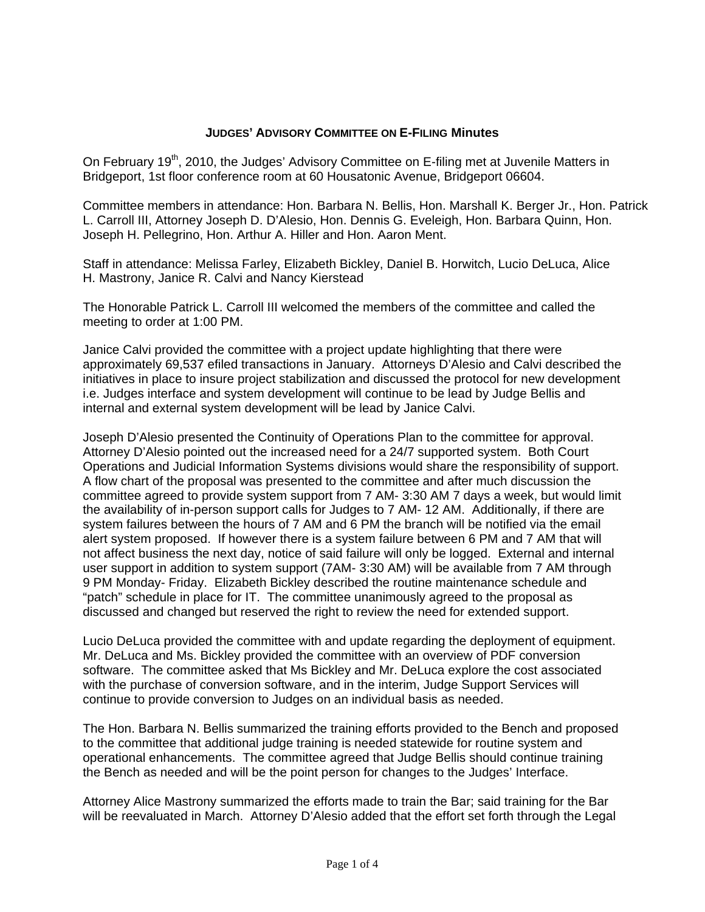## **JUDGES' ADVISORY COMMITTEE ON E-FILING Minutes**

On February 19<sup>th</sup>, 2010, the Judges' Advisory Committee on E-filing met at Juvenile Matters in Bridgeport, 1st floor conference room at 60 Housatonic Avenue, Bridgeport 06604.

Committee members in attendance: Hon. Barbara N. Bellis, Hon. Marshall K. Berger Jr., Hon. Patrick L. Carroll III, Attorney Joseph D. D'Alesio, Hon. Dennis G. Eveleigh, Hon. Barbara Quinn, Hon. Joseph H. Pellegrino, Hon. Arthur A. Hiller and Hon. Aaron Ment.

Staff in attendance: Melissa Farley, Elizabeth Bickley, Daniel B. Horwitch, Lucio DeLuca, Alice H. Mastrony, Janice R. Calvi and Nancy Kierstead

The Honorable Patrick L. Carroll III welcomed the members of the committee and called the meeting to order at 1:00 PM.

Janice Calvi provided the committee with a project update highlighting that there were approximately 69,537 efiled transactions in January. Attorneys D'Alesio and Calvi described the initiatives in place to insure project stabilization and discussed the protocol for new development i.e. Judges interface and system development will continue to be lead by Judge Bellis and internal and external system development will be lead by Janice Calvi.

Joseph D'Alesio presented the Continuity of Operations Plan to the committee for approval. Attorney D'Alesio pointed out the increased need for a 24/7 supported system. Both Court Operations and Judicial Information Systems divisions would share the responsibility of support. A flow chart of the proposal was presented to the committee and after much discussion the committee agreed to provide system support from 7 AM- 3:30 AM 7 days a week, but would limit the availability of in-person support calls for Judges to 7 AM- 12 AM. Additionally, if there are system failures between the hours of 7 AM and 6 PM the branch will be notified via the email alert system proposed. If however there is a system failure between 6 PM and 7 AM that will not affect business the next day, notice of said failure will only be logged. External and internal user support in addition to system support (7AM- 3:30 AM) will be available from 7 AM through 9 PM Monday- Friday. Elizabeth Bickley described the routine maintenance schedule and "patch" schedule in place for IT. The committee unanimously agreed to the proposal as discussed and changed but reserved the right to review the need for extended support.

Lucio DeLuca provided the committee with and update regarding the deployment of equipment. Mr. DeLuca and Ms. Bickley provided the committee with an overview of PDF conversion software. The committee asked that Ms Bickley and Mr. DeLuca explore the cost associated with the purchase of conversion software, and in the interim, Judge Support Services will continue to provide conversion to Judges on an individual basis as needed.

The Hon. Barbara N. Bellis summarized the training efforts provided to the Bench and proposed to the committee that additional judge training is needed statewide for routine system and operational enhancements. The committee agreed that Judge Bellis should continue training the Bench as needed and will be the point person for changes to the Judges' Interface.

Attorney Alice Mastrony summarized the efforts made to train the Bar; said training for the Bar will be reevaluated in March. Attorney D'Alesio added that the effort set forth through the Legal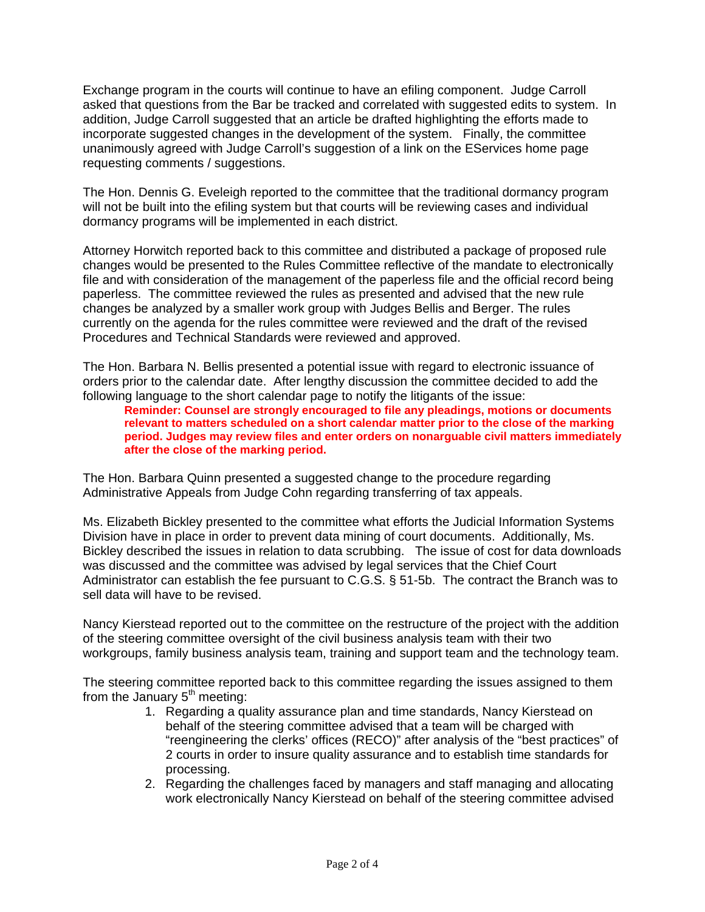Exchange program in the courts will continue to have an efiling component. Judge Carroll asked that questions from the Bar be tracked and correlated with suggested edits to system. In addition, Judge Carroll suggested that an article be drafted highlighting the efforts made to incorporate suggested changes in the development of the system. Finally, the committee unanimously agreed with Judge Carroll's suggestion of a link on the EServices home page requesting comments / suggestions.

The Hon. Dennis G. Eveleigh reported to the committee that the traditional dormancy program will not be built into the efiling system but that courts will be reviewing cases and individual dormancy programs will be implemented in each district.

Attorney Horwitch reported back to this committee and distributed a package of proposed rule changes would be presented to the Rules Committee reflective of the mandate to electronically file and with consideration of the management of the paperless file and the official record being paperless. The committee reviewed the rules as presented and advised that the new rule changes be analyzed by a smaller work group with Judges Bellis and Berger. The rules currently on the agenda for the rules committee were reviewed and the draft of the revised Procedures and Technical Standards were reviewed and approved.

The Hon. Barbara N. Bellis presented a potential issue with regard to electronic issuance of orders prior to the calendar date. After lengthy discussion the committee decided to add the following language to the short calendar page to notify the litigants of the issue:

**Reminder: Counsel are strongly encouraged to file any pleadings, motions or documents relevant to matters scheduled on a short calendar matter prior to the close of the marking period. Judges may review files and enter orders on nonarguable civil matters immediately after the close of the marking period.** 

The Hon. Barbara Quinn presented a suggested change to the procedure regarding Administrative Appeals from Judge Cohn regarding transferring of tax appeals.

Ms. Elizabeth Bickley presented to the committee what efforts the Judicial Information Systems Division have in place in order to prevent data mining of court documents. Additionally, Ms. Bickley described the issues in relation to data scrubbing. The issue of cost for data downloads was discussed and the committee was advised by legal services that the Chief Court Administrator can establish the fee pursuant to C.G.S. § 51-5b. The contract the Branch was to sell data will have to be revised.

Nancy Kierstead reported out to the committee on the restructure of the project with the addition of the steering committee oversight of the civil business analysis team with their two workgroups, family business analysis team, training and support team and the technology team.

The steering committee reported back to this committee regarding the issues assigned to them from the January  $5<sup>th</sup>$  meeting:

- 1. Regarding a quality assurance plan and time standards, Nancy Kierstead on behalf of the steering committee advised that a team will be charged with "reengineering the clerks' offices (RECO)" after analysis of the "best practices" of 2 courts in order to insure quality assurance and to establish time standards for processing.
- 2. Regarding the challenges faced by managers and staff managing and allocating work electronically Nancy Kierstead on behalf of the steering committee advised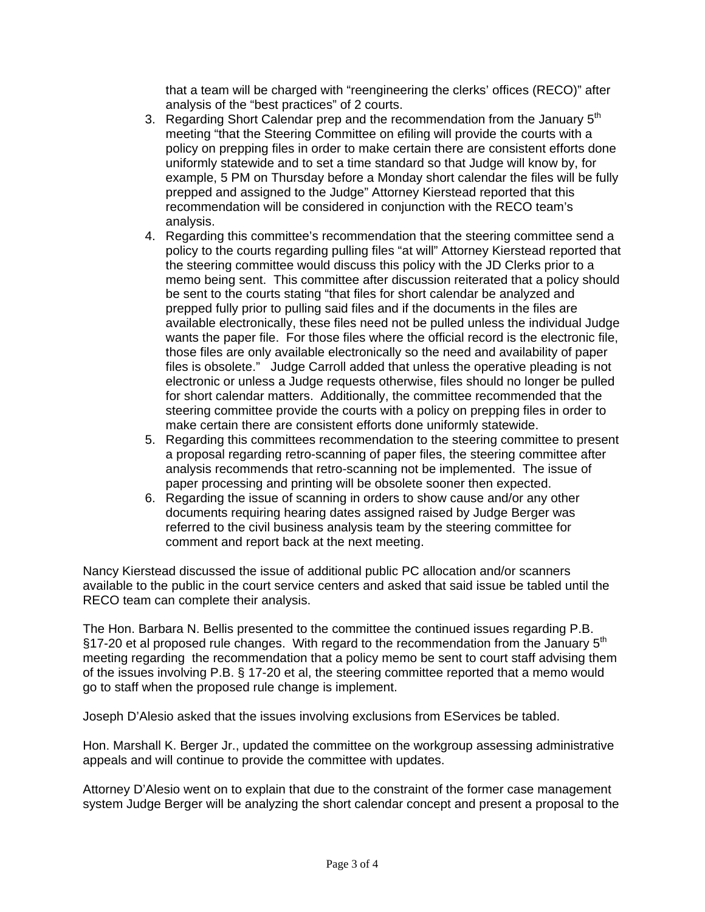that a team will be charged with "reengineering the clerks' offices (RECO)" after analysis of the "best practices" of 2 courts.

- 3. Regarding Short Calendar prep and the recommendation from the January  $5<sup>th</sup>$ meeting "that the Steering Committee on efiling will provide the courts with a policy on prepping files in order to make certain there are consistent efforts done uniformly statewide and to set a time standard so that Judge will know by, for example, 5 PM on Thursday before a Monday short calendar the files will be fully prepped and assigned to the Judge" Attorney Kierstead reported that this recommendation will be considered in conjunction with the RECO team's analysis.
- 4. Regarding this committee's recommendation that the steering committee send a policy to the courts regarding pulling files "at will" Attorney Kierstead reported that the steering committee would discuss this policy with the JD Clerks prior to a memo being sent. This committee after discussion reiterated that a policy should be sent to the courts stating "that files for short calendar be analyzed and prepped fully prior to pulling said files and if the documents in the files are available electronically, these files need not be pulled unless the individual Judge wants the paper file. For those files where the official record is the electronic file, those files are only available electronically so the need and availability of paper files is obsolete." Judge Carroll added that unless the operative pleading is not electronic or unless a Judge requests otherwise, files should no longer be pulled for short calendar matters. Additionally, the committee recommended that the steering committee provide the courts with a policy on prepping files in order to make certain there are consistent efforts done uniformly statewide.
- 5. Regarding this committees recommendation to the steering committee to present a proposal regarding retro-scanning of paper files, the steering committee after analysis recommends that retro-scanning not be implemented. The issue of paper processing and printing will be obsolete sooner then expected.
- 6. Regarding the issue of scanning in orders to show cause and/or any other documents requiring hearing dates assigned raised by Judge Berger was referred to the civil business analysis team by the steering committee for comment and report back at the next meeting.

Nancy Kierstead discussed the issue of additional public PC allocation and/or scanners available to the public in the court service centers and asked that said issue be tabled until the RECO team can complete their analysis.

The Hon. Barbara N. Bellis presented to the committee the continued issues regarding P.B. §17-20 et al proposed rule changes. With regard to the recommendation from the January  $5<sup>th</sup>$ meeting regarding the recommendation that a policy memo be sent to court staff advising them of the issues involving P.B. § 17-20 et al, the steering committee reported that a memo would go to staff when the proposed rule change is implement.

Joseph D'Alesio asked that the issues involving exclusions from EServices be tabled.

Hon. Marshall K. Berger Jr., updated the committee on the workgroup assessing administrative appeals and will continue to provide the committee with updates.

Attorney D'Alesio went on to explain that due to the constraint of the former case management system Judge Berger will be analyzing the short calendar concept and present a proposal to the